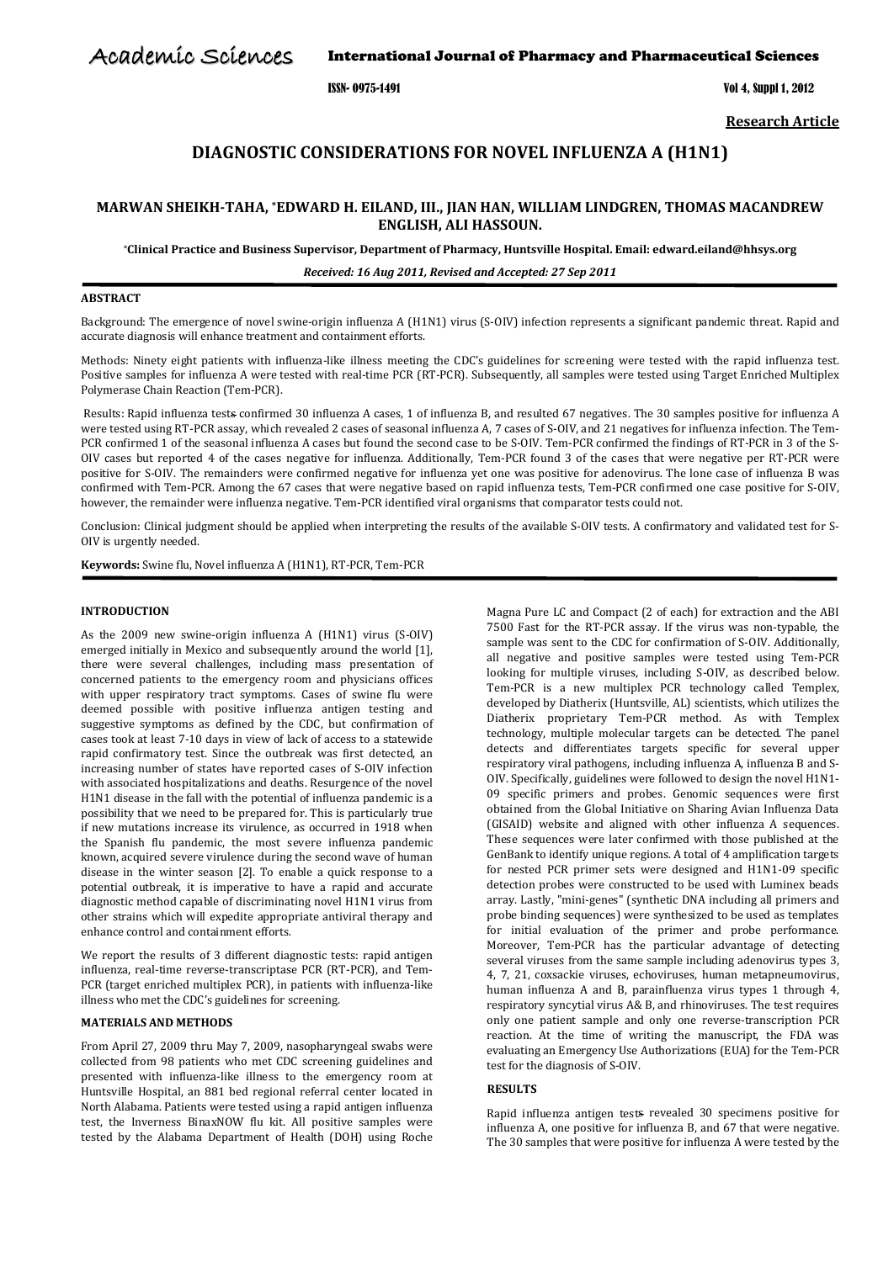Academic Sciences

International Journal of Pharmacy and Pharmaceutical Sciences

ISSN- 0975-1491 Vol 4, Suppl 1, 2012

**Research Article**

# **DIAGNOSTIC CONSIDERATIONS FOR NOVEL INFLUENZA A (H1N1)**

## **MARWAN SHEIKH-TAHA, \*EDWARD H. EILAND, III., JIAN HAN, WILLIAM LINDGREN, THOMAS MACANDREW ENGLISH, ALI HASSOUN.**

**\*Clinical Practice and Business Supervisor, Department of Pharmacy, Huntsville Hospital. Email[: edward.eiland@hhsys.org](mailto:edward.eiland@hhsys.org)**

*Received: 16 Aug 2011, Revised and Accepted: 27 Sep 2011*

#### **ABSTRACT**

Background: The emergence of novel swine-origin influenza A (H1N1) virus (S-OIV) infection represents a significant pandemic threat. Rapid and accurate diagnosis will enhance treatment and containment efforts.

Methods: Ninety eight patients with influenza-like illness meeting the CDC's guidelines for screening were tested with the rapid influenza test. Positive samples for influenza A were tested with real-time PCR (RT-PCR). Subsequently, all samples were tested using Target Enriched Multiplex Polymerase Chain Reaction (Tem-PCR).

Results: Rapid influenza test<del>s</del> confirmed 30 influenza A cases, 1 of influenza B, and resulted 67 negatives. The 30 samples positive for influenza A were tested using RT-PCR assay, which revealed 2 cases of seasonal influenza A, 7 cases of S-OIV, and 21 negatives for influenza infection. The Tem-PCR confirmed 1 of the seasonal influenza A cases but found the second case to be S-OIV. Tem-PCR confirmed the findings of RT-PCR in 3 of the S-OIV cases but reported 4 of the cases negative for influenza. Additionally, Tem-PCR found 3 of the cases that were negative per RT-PCR were positive for S-OIV. The remainders were confirmed negative for influenza yet one was positive for adenovirus. The lone case of influenza B was confirmed with Tem-PCR. Among the 67 cases that were negative based on rapid influenza tests, Tem-PCR confirmed one case positive for S-OIV, however, the remainder were influenza negative. Tem-PCR identified viral organisms that comparator tests could not.

Conclusion: Clinical judgment should be applied when interpreting the results of the available S-OIV tests. A confirmatory and validated test for S-OIV is urgently needed.

**Keywords:** Swine flu, Novel influenza A (H1N1), RT-PCR, Tem-PCR

### **INTRODUCTION**

As the 2009 new swine-origin influenza A (H1N1) virus (S-OIV) emerged initially in Mexico and subsequently around the world [1], there were several challenges, including mass presentation of concerned patients to the emergency room and physicians offices with upper respiratory tract symptoms. Cases of swine flu were deemed possible with positive influenza antigen testing and suggestive symptoms as defined by the CDC, but confirmation of cases took at least 7-10 days in view of lack of access to a statewide rapid confirmatory test. Since the outbreak was first detected, an increasing number of states have reported cases of S-OIV infection with associated hospitalizations and deaths. Resurgence of the novel H1N1 disease in the fall with the potential of influenza pandemic is a possibility that we need to be prepared for. This is particularly true if new mutations increase its virulence, as occurred in 1918 when the Spanish flu pandemic, the most severe influenza pandemic known, acquired severe virulence during the second wave of human disease in the winter season [2]. To enable a quick response to a potential outbreak, it is imperative to have a rapid and accurate diagnostic method capable of discriminating novel H1N1 virus from other strains which will expedite appropriate antiviral therapy and enhance control and containment efforts.

We report the results of 3 different diagnostic tests: rapid antigen influenza, real-time reverse-transcriptase PCR (RT-PCR), and Tem-PCR (target enriched multiplex PCR), in patients with influenza-like illness who met the CDC's guidelines for screening.

### **MATERIALS AND METHODS**

From April 27, 2009 thru May 7, 2009, nasopharyngeal swabs were collected from 98 patients who met CDC screening guidelines and presented with influenza-like illness to the emergency room at Huntsville Hospital, an 881 bed regional referral center located in North Alabama. Patients were tested using a rapid antigen influenza test, the Inverness BinaxNOW flu kit. All positive samples were tested by the Alabama Department of Health (DOH) using Roche

Magna Pure LC and Compact (2 of each) for extraction and the ABI 7500 Fast for the RT-PCR assay. If the virus was non-typable, the sample was sent to the CDC for confirmation of S-OIV. Additionally, all negative and positive samples were tested using Tem-PCR looking for multiple viruses, including S-OIV, as described below. Tem-PCR is a new multiplex PCR technology called Templex, developed by Diatherix (Huntsville, AL) scientists, which utilizes the Diatherix proprietary Tem-PCR method. As with Templex technology, multiple molecular targets can be detected. The panel detects and differentiates targets specific for several upper respiratory viral pathogens, including influenza A, influenza B and S-OIV. Specifically, guidelines were followed to design the novel H1N1- 09 specific primers and probes. Genomic sequences were first obtained from the Global Initiative on Sharing Avian Influenza Data (GISAID) website and aligned with other influenza A sequences. These sequences were later confirmed with those published at the GenBank to identify unique regions. A total of 4 amplification targets for nested PCR primer sets were designed and H1N1-09 specific detection probes were constructed to be used with Luminex beads array. Lastly, "mini-genes" (synthetic DNA including all primers and probe binding sequences) were synthesized to be used as templates for initial evaluation of the primer and probe performance. Moreover, Tem-PCR has the particular advantage of detecting several viruses from the same sample including adenovirus types 3, 4, 7, 21, coxsackie viruses, echoviruses, human metapneumovirus, human influenza A and B, parainfluenza virus types 1 through 4, respiratory syncytial virus A& B, and rhinoviruses. The test requires only one patient sample and only one reverse-transcription PCR reaction. At the time of writing the manuscript, the FDA was evaluating an Emergency Use Authorizations (EUA) for the Tem-PCR test for the diagnosis of S-OIV.

#### **RESULTS**

Rapid influenza antigen tests revealed 30 specimens positive for influenza A, one positive for influenza B, and 67 that were negative. The 30 samples that were positive for influenza A were tested by the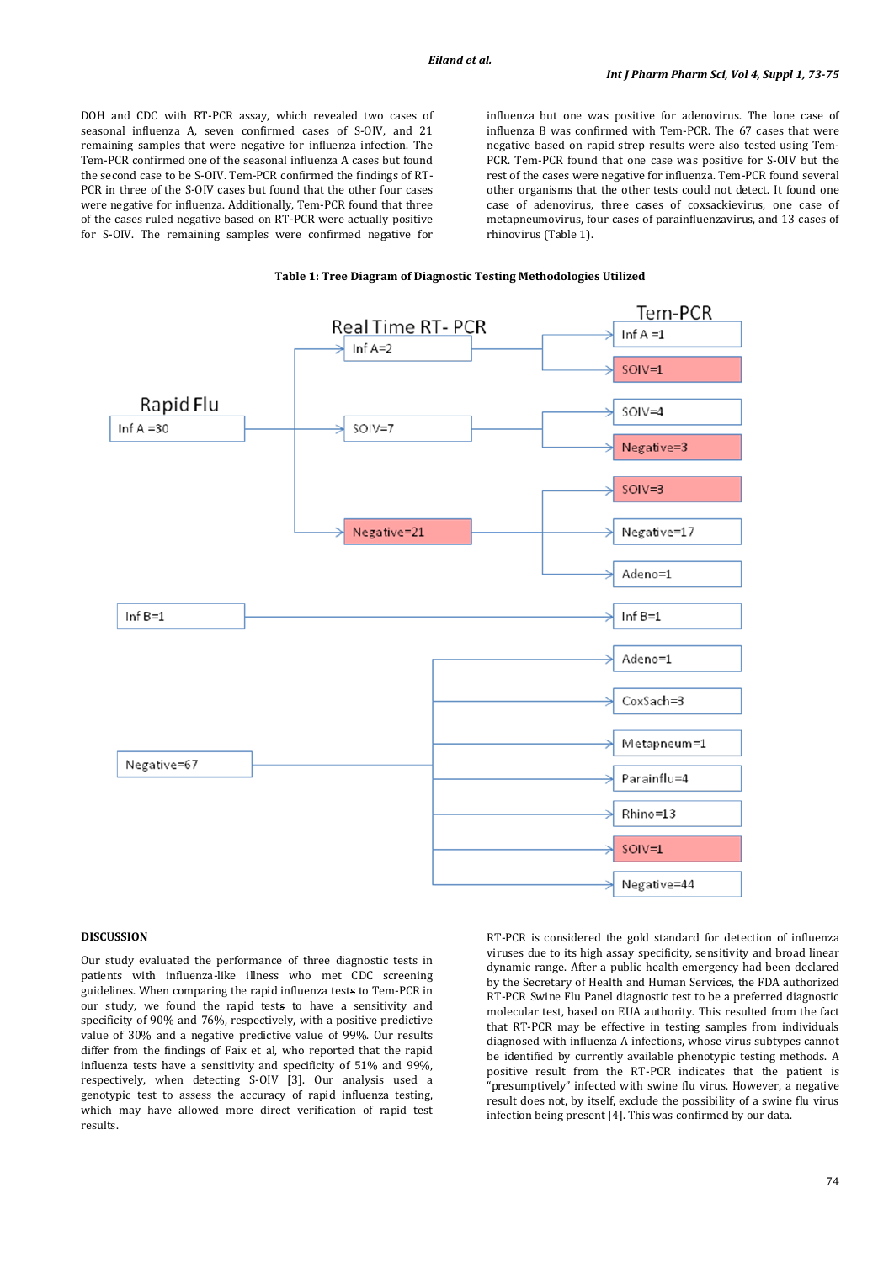DOH and CDC with RT-PCR assay, which revealed two cases of seasonal influenza A, seven confirmed cases of S-OIV, and 21 remaining samples that were negative for influenza infection. The Tem-PCR confirmed one of the seasonal influenza A cases but found the second case to be S-OIV. Tem-PCR confirmed the findings of RT-PCR in three of the S-OIV cases but found that the other four cases were negative for influenza. Additionally, Tem-PCR found that three of the cases ruled negative based on RT-PCR were actually positive for S-OIV. The remaining samples were confirmed negative for

influenza but one was positive for adenovirus. The lone case of influenza B was confirmed with Tem-PCR. The 67 cases that were negative based on rapid strep results were also tested using Tem-PCR. Tem-PCR found that one case was positive for S-OIV but the rest of the cases were negative for influenza. Tem-PCR found several other organisms that the other tests could not detect. It found one case of adenovirus, three cases of coxsackievirus, one case of metapneumovirus, four cases of parainfluenzavirus, and 13 cases of rhinovirus (Table 1).





#### **DISCUSSION**

Our study evaluated the performance of three diagnostic tests in patients with influenza-like illness who met CDC screening guidelines. When comparing the rapid influenza tests to Tem-PCR in our study, we found the rapid tests to have a sensitivity and specificity of 90% and 76%, respectively, with a positive predictive value of 30% and a negative predictive value of 99%. Our results differ from the findings of Faix et al, who reported that the rapid influenza tests have a sensitivity and specificity of 51% and 99%, respectively, when detecting S-OIV [3]. Our analysis used a genotypic test to assess the accuracy of rapid influenza testing, which may have allowed more direct verification of rapid test results.

RT-PCR is considered the gold standard for detection of influenza viruses due to its high assay specificity, sensitivity and broad linear dynamic range. After a public health emergency had been declared by the Secretary of Health and Human Services, the FDA authorized RT-PCR Swine Flu Panel diagnostic test to be a preferred diagnostic molecular test, based on EUA authority. This resulted from the fact that RT-PCR may be effective in testing samples from individuals diagnosed with influenza A infections, whose virus subtypes cannot be identified by currently available phenotypic testing methods. A positive result from the RT-PCR indicates that the patient is "presumptively" infected with swine flu virus. However, a negative result does not, by itself, exclude the possibility of a swine flu virus infection being present [4]. This was confirmed by our data.